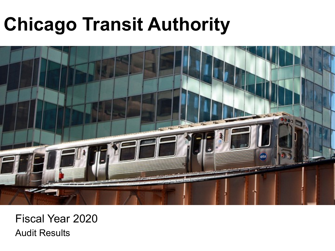# **Chicago Transit Authority**



Fiscal Year 2020 Audit Results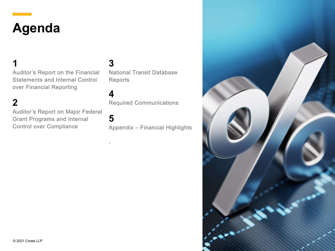## **Agenda**

**2**

**1** Auditor's Report on the Financial Statements and Internal Control over Financial Reporting

Auditor's Report on Major Federal Grant Programs and Internal Control over Compliance

**3** National Transit Database Reports

Required Communications

**5**

.

**4**

Appendix – Financial Highlights

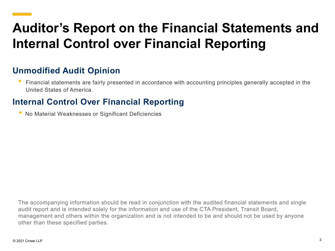## **Auditor's Report on the Financial Statements and Internal Control over Financial Reporting**

#### **Unmodified Audit Opinion**

• Financial statements are fairly presented in accordance with accounting principles generally accepted in the United States of America.

#### **Internal Control Over Financial Reporting**

• No Material Weaknesses or Significant Deficiencies

The accompanying information should be read in conjunction with the audited financial statements and single audit report and is intended solely for the information and use of the CTA President, Transit Board, management and others within the organization and is not intended to be and should not be used by anyone other than these specified parties.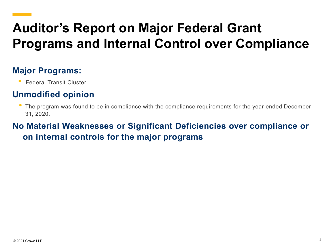## **Auditor's Report on Major Federal Grant Programs and Internal Control over Compliance**

#### **Major Programs:**

• Federal Transit Cluster

#### **Unmodified opinion**

• The program was found to be in compliance with the compliance requirements for the year ended December 31, 2020.

### **No Material Weaknesses or Significant Deficiencies over compliance or on internal controls for the major programs**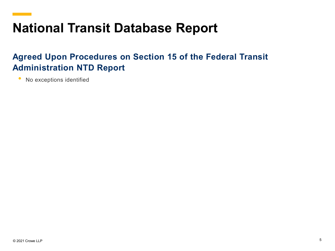### **National Transit Database Report**

#### **Agreed Upon Procedures on Section 15 of the Federal Transit Administration NTD Report**

No exceptions identified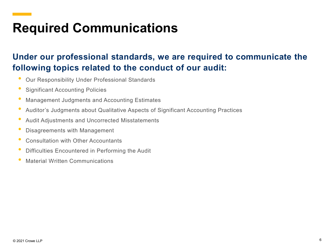## **Required Communications**

### **Under our professional standards, we are required to communicate the following topics related to the conduct of our audit:**

- Our Responsibility Under Professional Standards
- Significant Accounting Policies
- Management Judgments and Accounting Estimates
- Auditor's Judgments about Qualitative Aspects of Significant Accounting Practices
- Audit Adjustments and Uncorrected Misstatements
- Disagreements with Management
- Consultation with Other Accountants
- Difficulties Encountered in Performing the Audit
- Material Written Communications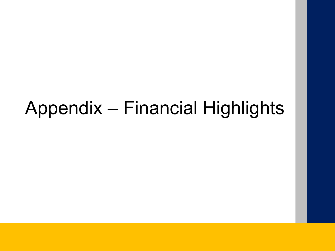## Appendix – Financial Highlights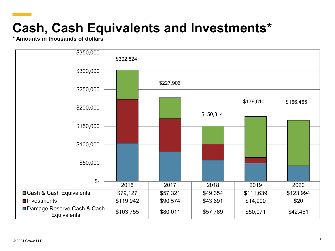## **Cash, Cash Equivalents and Investments\***

**\* Amounts in thousands of dollars**

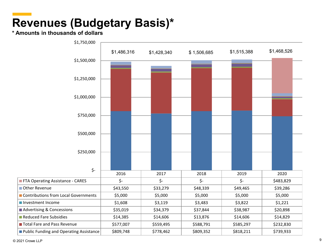### **Revenues (Budgetary Basis)\***

#### **\* Amounts in thousands of dollars**

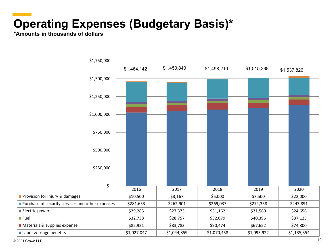### **Operating Expenses (Budgetary Basis)\***

**\*Amounts in thousands of dollars**



 $@$  2021 Crowe LLP  $10$